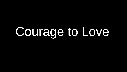## Courage to Love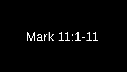## Mark 11:1-11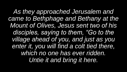*As they approached Jerusalem and came to Bethphage and Bethany at the Mount of Olives, Jesus sent two of his disciples, saying to them, "Go to the village ahead of you, and just as you enter it, you will find a colt tied there, which no one has ever ridden. Untie it and bring it here.*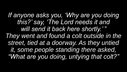*If anyone asks you, 'Why are you doing this?' say, 'The Lord needs it and*  will send it back here shortly.'" *They went and found a colt outside in the street, tied at a doorway. As they untied it, some people standing there asked, "What are you doing, untying that colt?"*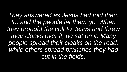*They answered as Jesus had told them to, and the people let them go. When they brought the colt to Jesus and threw their cloaks over it, he sat on it. Many people spread their cloaks on the road, while others spread branches they had cut in the fields.*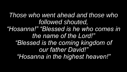*Those who went ahead and those who followed shouted, "Hosanna!" "Blessed is he who comes in the name of the Lord!" "Blessed is the coming kingdom of our father David!" "Hosanna in the highest heaven!"*